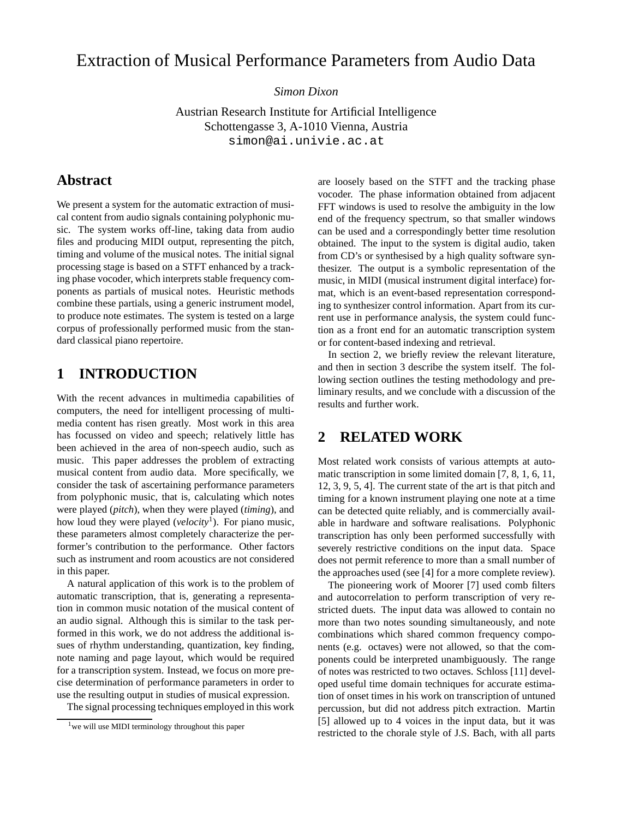# Extraction of Musical Performance Parameters from Audio Data

*Simon Dixon*

Austrian Research Institute for Artificial Intelligence Schottengasse 3, A-1010 Vienna, Austria simon@ai.univie.ac.at

#### **Abstract**

We present a system for the automatic extraction of musical content from audio signals containing polyphonic music. The system works off-line, taking data from audio files and producing MIDI output, representing the pitch, timing and volume of the musical notes. The initial signal processing stage is based on a STFT enhanced by a tracking phase vocoder, which interprets stable frequency components as partials of musical notes. Heuristic methods combine these partials, using a generic instrument model, to produce note estimates. The system is tested on a large corpus of professionally performed music from the standard classical piano repertoire.

#### **1 INTRODUCTION**

With the recent advances in multimedia capabilities of computers, the need for intelligent processing of multimedia content has risen greatly. Most work in this area has focussed on video and speech; relatively little has been achieved in the area of non-speech audio, such as music. This paper addresses the problem of extracting musical content from audio data. More specifically, we consider the task of ascertaining performance parameters from polyphonic music, that is, calculating which notes were played (*pitch*), when they were played (*timing*), and how loud they were played (*velocity*<sup>1</sup> ). For piano music, these parameters almost completely characterize the performer's contribution to the performance. Other factors such as instrument and room acoustics are not considered in this paper.

A natural application of this work is to the problem of automatic transcription, that is, generating a representation in common music notation of the musical content of an audio signal. Although this is similar to the task performed in this work, we do not address the additional issues of rhythm understanding, quantization, key finding, note naming and page layout, which would be required for a transcription system. Instead, we focus on more precise determination of performance parameters in order to use the resulting output in studies of musical expression.

The signal processing techniques employed in this work

are loosely based on the STFT and the tracking phase vocoder. The phase information obtained from adjacent FFT windows is used to resolve the ambiguity in the low end of the frequency spectrum, so that smaller windows can be used and a correspondingly better time resolution obtained. The input to the system is digital audio, taken from CD's or synthesised by a high quality software synthesizer. The output is a symbolic representation of the music, in MIDI (musical instrument digital interface) format, which is an event-based representation corresponding to synthesizer control information. Apart from its current use in performance analysis, the system could function as a front end for an automatic transcription system or for content-based indexing and retrieval.

In section 2, we briefly review the relevant literature, and then in section 3 describe the system itself. The following section outlines the testing methodology and preliminary results, and we conclude with a discussion of the results and further work.

#### **2 RELATED WORK**

Most related work consists of various attempts at automatic transcription in some limited domain [7, 8, 1, 6, 11, 12, 3, 9, 5, 4]. The current state of the art is that pitch and timing for a known instrument playing one note at a time can be detected quite reliably, and is commercially available in hardware and software realisations. Polyphonic transcription has only been performed successfully with severely restrictive conditions on the input data. Space does not permit reference to more than a small number of the approaches used (see [4] for a more complete review).

The pioneering work of Moorer [7] used comb filters and autocorrelation to perform transcription of very restricted duets. The input data was allowed to contain no more than two notes sounding simultaneously, and note combinations which shared common frequency components (e.g. octaves) were not allowed, so that the components could be interpreted unambiguously. The range of notes was restricted to two octaves. Schloss [11] developed useful time domain techniques for accurate estimation of onset times in his work on transcription of untuned percussion, but did not address pitch extraction. Martin [5] allowed up to 4 voices in the input data, but it was restricted to the chorale style of J.S. Bach, with all parts

 $1$  we will use MIDI terminology throughout this paper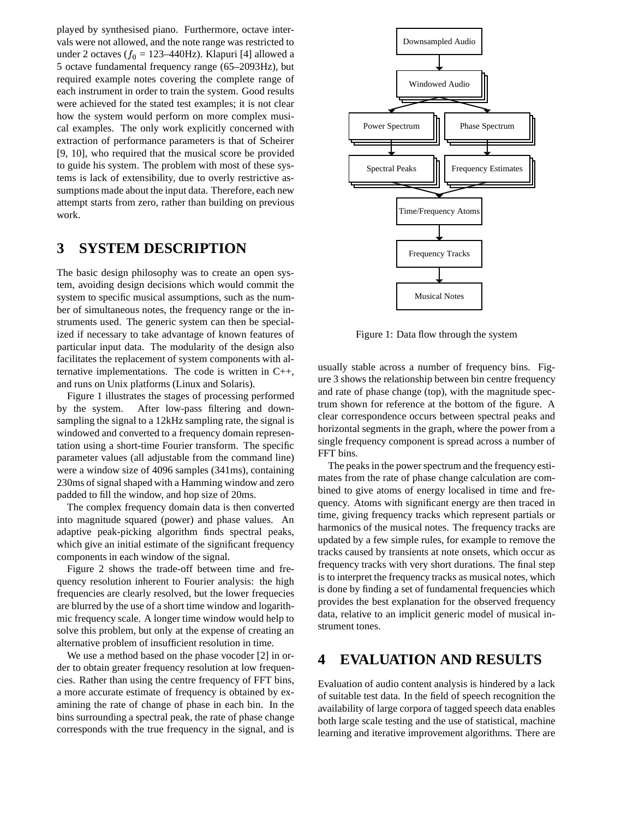played by synthesised piano. Furthermore, octave intervals were not allowed, and the note range was restricted to under 2 octaves ( $f_0 = 123-440$ Hz). Klapuri [4] allowed a 5 octave fundamental frequency range (65–2093Hz), but required example notes covering the complete range of each instrument in order to train the system. Good results were achieved for the stated test examples; it is not clear how the system would perform on more complex musical examples. The only work explicitly concerned with extraction of performance parameters is that of Scheirer [9, 10], who required that the musical score be provided to guide his system. The problem with most of these systems is lack of extensibility, due to overly restrictive assumptions made about the input data. Therefore, each new attempt starts from zero, rather than building on previous work.

#### **3 SYSTEM DESCRIPTION**

The basic design philosophy was to create an open system, avoiding design decisions which would commit the system to specific musical assumptions, such as the number of simultaneous notes, the frequency range or the instruments used. The generic system can then be specialized if necessary to take advantage of known features of particular input data. The modularity of the design also facilitates the replacement of system components with alternative implementations. The code is written in C++, and runs on Unix platforms (Linux and Solaris).

Figure 1 illustrates the stages of processing performed by the system. After low-pass filtering and downsampling the signal to a 12kHz sampling rate, the signal is windowed and converted to a frequency domain representation using a short-time Fourier transform. The specific parameter values (all adjustable from the command line) were a window size of 4096 samples (341ms), containing 230ms of signal shaped with a Hamming window and zero padded to fill the window, and hop size of 20ms.

The complex frequency domain data is then converted into magnitude squared (power) and phase values. An adaptive peak-picking algorithm finds spectral peaks, which give an initial estimate of the significant frequency components in each window of the signal.

Figure 2 shows the trade-off between time and frequency resolution inherent to Fourier analysis: the high frequencies are clearly resolved, but the lower frequecies are blurred by the use of a short time window and logarithmic frequency scale. A longer time window would help to solve this problem, but only at the expense of creating an alternative problem of insufficient resolution in time.

We use a method based on the phase vocoder [2] in order to obtain greater frequency resolution at low frequencies. Rather than using the centre frequency of FFT bins, a more accurate estimate of frequency is obtained by examining the rate of change of phase in each bin. In the bins surrounding a spectral peak, the rate of phase change corresponds with the true frequency in the signal, and is



Figure 1: Data flow through the system

usually stable across a number of frequency bins. Figure 3 shows the relationship between bin centre frequency and rate of phase change (top), with the magnitude spectrum shown for reference at the bottom of the figure. A clear correspondence occurs between spectral peaks and horizontal segments in the graph, where the power from a single frequency component is spread across a number of FFT bins.

The peaks in the power spectrum and the frequency estimates from the rate of phase change calculation are combined to give atoms of energy localised in time and frequency. Atoms with significant energy are then traced in time, giving frequency tracks which represent partials or harmonics of the musical notes. The frequency tracks are updated by a few simple rules, for example to remove the tracks caused by transients at note onsets, which occur as frequency tracks with very short durations. The final step is to interpret the frequency tracks as musical notes, which is done by finding a set of fundamental frequencies which provides the best explanation for the observed frequency data, relative to an implicit generic model of musical instrument tones.

### **4 EVALUATION AND RESULTS**

Evaluation of audio content analysis is hindered by a lack of suitable test data. In the field of speech recognition the availability of large corpora of tagged speech data enables both large scale testing and the use of statistical, machine learning and iterative improvement algorithms. There are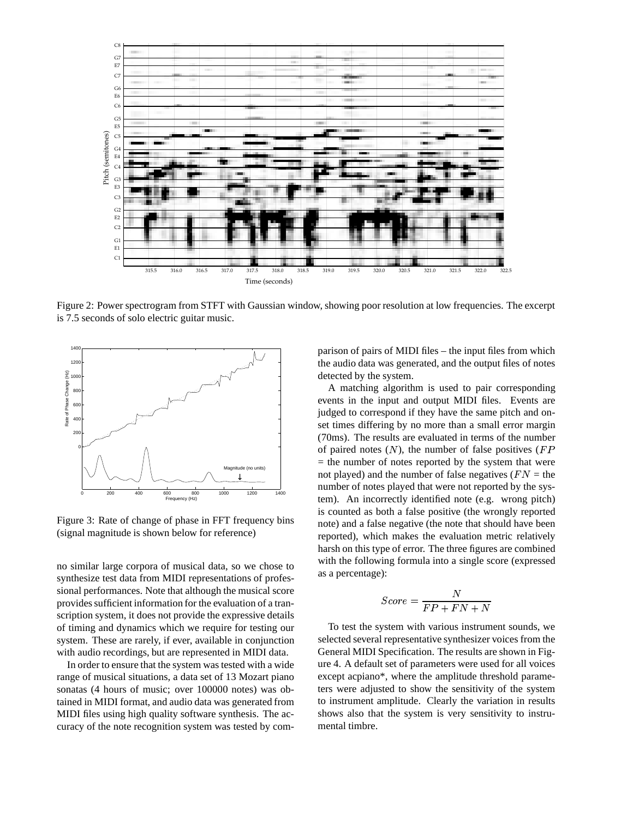

Figure 2: Power spectrogram from STFT with Gaussian window, showing poor resolution at low frequencies. The excerpt is 7.5 seconds of solo electric guitar music.



Figure 3: Rate of change of phase in FFT frequency bins (signal magnitude is shown below for reference)

no similar large corpora of musical data, so we chose to synthesize test data from MIDI representations of professional performances. Note that although the musical score provides sufficient information for the evaluation of a transcription system, it does not provide the expressive details of timing and dynamics which we require for testing our system. These are rarely, if ever, available in conjunction with audio recordings, but are represented in MIDI data.

In order to ensure that the system was tested with a wide range of musical situations, a data set of 13 Mozart piano sonatas (4 hours of music; over 100000 notes) was obtained in MIDI format, and audio data was generated from MIDI files using high quality software synthesis. The accuracy of the note recognition system was tested by com-

parison of pairs of MIDI files – the input files from which the audio data was generated, and the output files of notes detected by the system.

A matching algorithm is used to pair corresponding events in the input and output MIDI files. Events are judged to correspond if they have the same pitch and onset times differing by no more than a small error margin (70ms). The results are evaluated in terms of the number of paired notes  $(N)$ , the number of false positives  $(FP)$  $=$  the number of notes reported by the system that were not played) and the number of false negatives ( $FN =$  the number of notes played that were not reported by the system). An incorrectly identified note (e.g. wrong pitch) is counted as both a false positive (the wrongly reported note) and a false negative (the note that should have been reported), which makes the evaluation metric relatively harsh on this type of error. The three figures are combined with the following formula into a single score (expressed as a percentage):

$$
Score=\frac{N}{FP+FN+N}
$$

To test the system with various instrument sounds, we selected several representative synthesizer voices from the General MIDI Specification. The results are shown in Figure 4. A default set of parameters were used for all voices except acpiano\*, where the amplitude threshold parameters were adjusted to show the sensitivity of the system to instrument amplitude. Clearly the variation in results shows also that the system is very sensitivity to instrumental timbre.